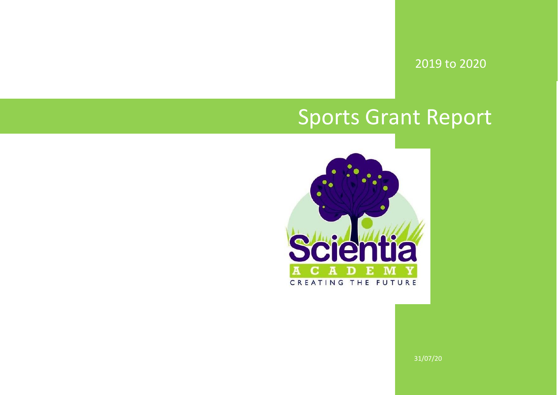2019 to 2020

## Sports Grant Report



31/07/20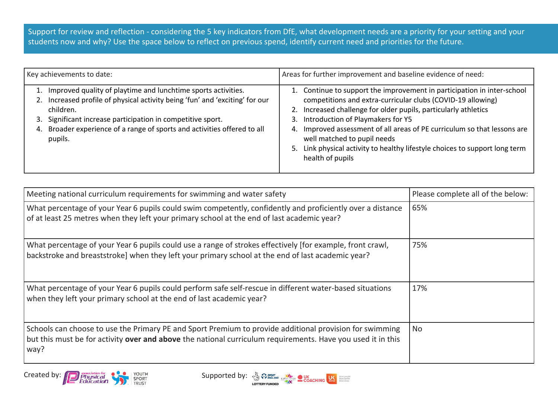Support for review and reflection - considering the 5 key indicators from DfE, what development needs are a priority for your setting and your students now and why? Use the space below to reflect on previous spend, identify current need and priorities for the future.

| Key achievements to date:                                                                                                                                                                                                                                                                                                 | Areas for further improvement and baseline evidence of need:                                                                                                                                                                                                                                                                                                                                                                                                       |  |  |  |  |
|---------------------------------------------------------------------------------------------------------------------------------------------------------------------------------------------------------------------------------------------------------------------------------------------------------------------------|--------------------------------------------------------------------------------------------------------------------------------------------------------------------------------------------------------------------------------------------------------------------------------------------------------------------------------------------------------------------------------------------------------------------------------------------------------------------|--|--|--|--|
| 1. Improved quality of playtime and lunchtime sports activities.<br>2. Increased profile of physical activity being 'fun' and 'exciting' for our<br>children.<br>Significant increase participation in competitive sport.<br>3.<br>Broader experience of a range of sports and activities offered to all<br>4.<br>pupils. | 1. Continue to support the improvement in participation in inter-school<br>competitions and extra-curricular clubs (COVID-19 allowing)<br>2. Increased challenge for older pupils, particularly athletics<br>3. Introduction of Playmakers for Y5<br>Improved assessment of all areas of PE curriculum so that lessons are<br>4.<br>well matched to pupil needs<br>5. Link physical activity to healthy lifestyle choices to support long term<br>health of pupils |  |  |  |  |

| Meeting national curriculum requirements for swimming and water safety                                                                                                                                                         | Please complete all of the below: |  |  |
|--------------------------------------------------------------------------------------------------------------------------------------------------------------------------------------------------------------------------------|-----------------------------------|--|--|
| What percentage of your Year 6 pupils could swim competently, confidently and proficiently over a distance<br>of at least 25 metres when they left your primary school at the end of last academic year?                       | 65%                               |  |  |
| What percentage of your Year 6 pupils could use a range of strokes effectively [for example, front crawl,<br>backstroke and breaststroke] when they left your primary school at the end of last academic year?                 | 75%                               |  |  |
| What percentage of your Year 6 pupils could perform safe self-rescue in different water-based situations<br>when they left your primary school at the end of last academic year?                                               | 17%                               |  |  |
| Schools can choose to use the Primary PE and Sport Premium to provide additional provision for swimming<br>but this must be for activity over and above the national curriculum requirements. Have you used it in this<br>way? | No                                |  |  |

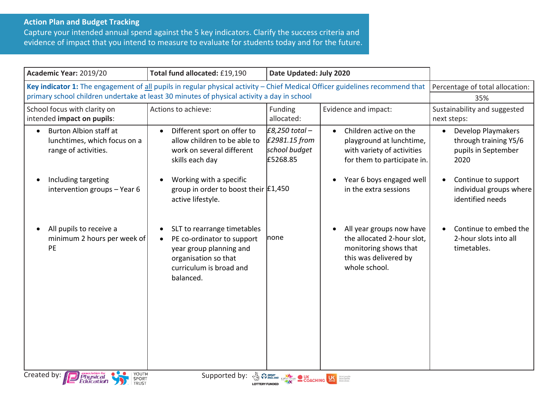## **Action Plan and Budget Tracking**

Capture your intended annual spend against the 5 key indicators. Clarify the success criteria and evidence of impact that you intend to measure to evaluate for students today and for the future.

| Academic Year: 2019/20                                                                                                                             | Total fund allocated: £19,190<br>Date Updated: July 2020                                                                                                          |                                                                |                                                                                                                                             |                                                                                                                       |  |  |
|----------------------------------------------------------------------------------------------------------------------------------------------------|-------------------------------------------------------------------------------------------------------------------------------------------------------------------|----------------------------------------------------------------|---------------------------------------------------------------------------------------------------------------------------------------------|-----------------------------------------------------------------------------------------------------------------------|--|--|
| Key indicator 1: The engagement of all pupils in regular physical activity - Chief Medical Officer guidelines recommend that                       |                                                                                                                                                                   | Percentage of total allocation:                                |                                                                                                                                             |                                                                                                                       |  |  |
| primary school children undertake at least 30 minutes of physical activity a day in school                                                         |                                                                                                                                                                   |                                                                |                                                                                                                                             | 35%                                                                                                                   |  |  |
| School focus with clarity on<br>intended impact on pupils:                                                                                         | Actions to achieve:                                                                                                                                               | Funding<br>allocated:                                          | Evidence and impact:                                                                                                                        | Sustainability and suggested<br>next steps:                                                                           |  |  |
| <b>Burton Albion staff at</b><br>lunchtimes, which focus on a<br>range of activities.<br>Including targeting                                       | Different sport on offer to<br>allow children to be able to<br>work on several different<br>skills each day<br>Working with a specific                            | $E8,250$ total -<br>£2981.15 from<br>school budget<br>£5268.85 | Children active on the<br>playground at lunchtime,<br>with variety of activities<br>for them to participate in.<br>Year 6 boys engaged well | <b>Develop Playmakers</b><br>through training Y5/6<br>pupils in September<br>2020<br>Continue to support<br>$\bullet$ |  |  |
| intervention groups - Year 6                                                                                                                       | group in order to boost their $E1,450$<br>active lifestyle.                                                                                                       |                                                                | in the extra sessions                                                                                                                       | individual groups where<br>identified needs                                                                           |  |  |
| All pupils to receive a<br>minimum 2 hours per week of<br>PE                                                                                       | SLT to rearrange timetables<br>PE co-ordinator to support<br>$\bullet$<br>year group planning and<br>organisation so that<br>curriculum is broad and<br>balanced. | Inone                                                          | All year groups now have<br>the allocated 2-hour slot,<br>monitoring shows that<br>this was delivered by<br>whole school.                   | Continue to embed the<br>2-hour slots into all<br>timetables.                                                         |  |  |
| YOUTH<br>SPORT<br>Created by:<br>Supported by:<br><b>EXPENSION CONSTRUCTION OF DUK</b><br><b>COACHING</b><br><i>Physical</i><br>Education<br>TRUST |                                                                                                                                                                   |                                                                |                                                                                                                                             |                                                                                                                       |  |  |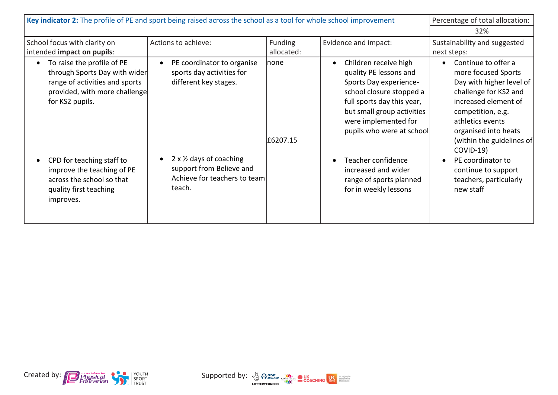| Key indicator 2: The profile of PE and sport being raised across the school as a tool for whole school improvement                                |                                                                                                |                    |                                                                                                                                                                                                                                     | Percentage of total allocation:                                                                                                                                                                                                    |  |  |
|---------------------------------------------------------------------------------------------------------------------------------------------------|------------------------------------------------------------------------------------------------|--------------------|-------------------------------------------------------------------------------------------------------------------------------------------------------------------------------------------------------------------------------------|------------------------------------------------------------------------------------------------------------------------------------------------------------------------------------------------------------------------------------|--|--|
|                                                                                                                                                   |                                                                                                |                    |                                                                                                                                                                                                                                     | 32%                                                                                                                                                                                                                                |  |  |
| School focus with clarity on                                                                                                                      | Actions to achieve:                                                                            | Funding            | Evidence and impact:                                                                                                                                                                                                                | Sustainability and suggested                                                                                                                                                                                                       |  |  |
| intended impact on pupils:                                                                                                                        |                                                                                                | allocated:         |                                                                                                                                                                                                                                     | next steps:                                                                                                                                                                                                                        |  |  |
| To raise the profile of PE<br>through Sports Day with wider<br>range of activities and sports<br>provided, with more challenge<br>for KS2 pupils. | PE coordinator to organise<br>sports day activities for<br>different key stages.               | lnone.<br>£6207.15 | Children receive high<br>$\bullet$<br>quality PE lessons and<br>Sports Day experience-<br>school closure stopped a<br>full sports day this year,<br>but small group activities<br>were implemented for<br>pupils who were at school | Continue to offer a<br>$\bullet$<br>more focused Sports<br>Day with higher level of<br>challenge for KS2 and<br>increased element of<br>competition, e.g.<br>athletics events<br>organised into heats<br>(within the guidelines of |  |  |
| CPD for teaching staff to<br>improve the teaching of PE<br>across the school so that<br>quality first teaching<br>improves.                       | 2 x 1/2 days of coaching<br>support from Believe and<br>Achieve for teachers to team<br>teach. |                    | Teacher confidence<br>increased and wider<br>range of sports planned<br>for in weekly lessons                                                                                                                                       | $COVID-19$<br>PE coordinator to<br>continue to support<br>teachers, particularly<br>new staff                                                                                                                                      |  |  |



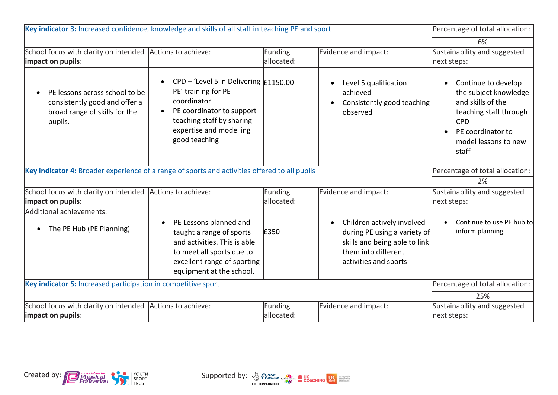| Key indicator 3: Increased confidence, knowledge and skills of all staff in teaching PE and sport           |                                                                                                                                                                                                                     |                              |                                                                                                                                                          | Percentage of total allocation:                                                                                                                                 |  |  |
|-------------------------------------------------------------------------------------------------------------|---------------------------------------------------------------------------------------------------------------------------------------------------------------------------------------------------------------------|------------------------------|----------------------------------------------------------------------------------------------------------------------------------------------------------|-----------------------------------------------------------------------------------------------------------------------------------------------------------------|--|--|
|                                                                                                             | 6%                                                                                                                                                                                                                  |                              |                                                                                                                                                          |                                                                                                                                                                 |  |  |
| School focus with clarity on intended<br>impact on pupils:                                                  | Actions to achieve:                                                                                                                                                                                                 | <b>Funding</b><br>allocated: | Evidence and impact:                                                                                                                                     | Sustainability and suggested<br>next steps:                                                                                                                     |  |  |
| PE lessons across school to be<br>consistently good and offer a<br>broad range of skills for the<br>pupils. | CPD - 'Level 5 in Delivering $\vert$ £1150.00<br>$\bullet$<br>PE' training for PE<br>coordinator<br>PE coordinator to support<br>$\bullet$<br>teaching staff by sharing<br>expertise and modelling<br>good teaching |                              | Level 5 qualification<br>achieved<br>Consistently good teaching<br>observed                                                                              | Continue to develop<br>the subject knowledge<br>and skills of the<br>teaching staff through<br><b>CPD</b><br>PE coordinator to<br>model lessons to new<br>staff |  |  |
| Key indicator 4: Broader experience of a range of sports and activities offered to all pupils               | Percentage of total allocation:                                                                                                                                                                                     |                              |                                                                                                                                                          |                                                                                                                                                                 |  |  |
|                                                                                                             |                                                                                                                                                                                                                     |                              |                                                                                                                                                          | 2%                                                                                                                                                              |  |  |
| School focus with clarity on intended<br>impact on pupils:                                                  | Actions to achieve:                                                                                                                                                                                                 | <b>Funding</b><br>allocated: | Evidence and impact:                                                                                                                                     | Sustainability and suggested<br>next steps:                                                                                                                     |  |  |
| Additional achievements:                                                                                    |                                                                                                                                                                                                                     |                              |                                                                                                                                                          |                                                                                                                                                                 |  |  |
| The PE Hub (PE Planning)                                                                                    | PE Lessons planned and<br>$\bullet$<br>taught a range of sports<br>and activities. This is able<br>to meet all sports due to<br>excellent range of sporting<br>equipment at the school.                             | £350                         | Children actively involved<br>$\bullet$<br>during PE using a variety of<br>skills and being able to link<br>them into different<br>activities and sports | Continue to use PE hub to<br>inform planning.                                                                                                                   |  |  |
| Key indicator 5: Increased participation in competitive sport                                               | Percentage of total allocation:                                                                                                                                                                                     |                              |                                                                                                                                                          |                                                                                                                                                                 |  |  |
|                                                                                                             |                                                                                                                                                                                                                     |                              |                                                                                                                                                          | 25%                                                                                                                                                             |  |  |
| School focus with clarity on intended Actions to achieve:<br>impact on pupils:                              |                                                                                                                                                                                                                     | <b>Funding</b><br>allocated: | Evidence and impact:                                                                                                                                     | Sustainability and suggested<br>next steps:                                                                                                                     |  |  |